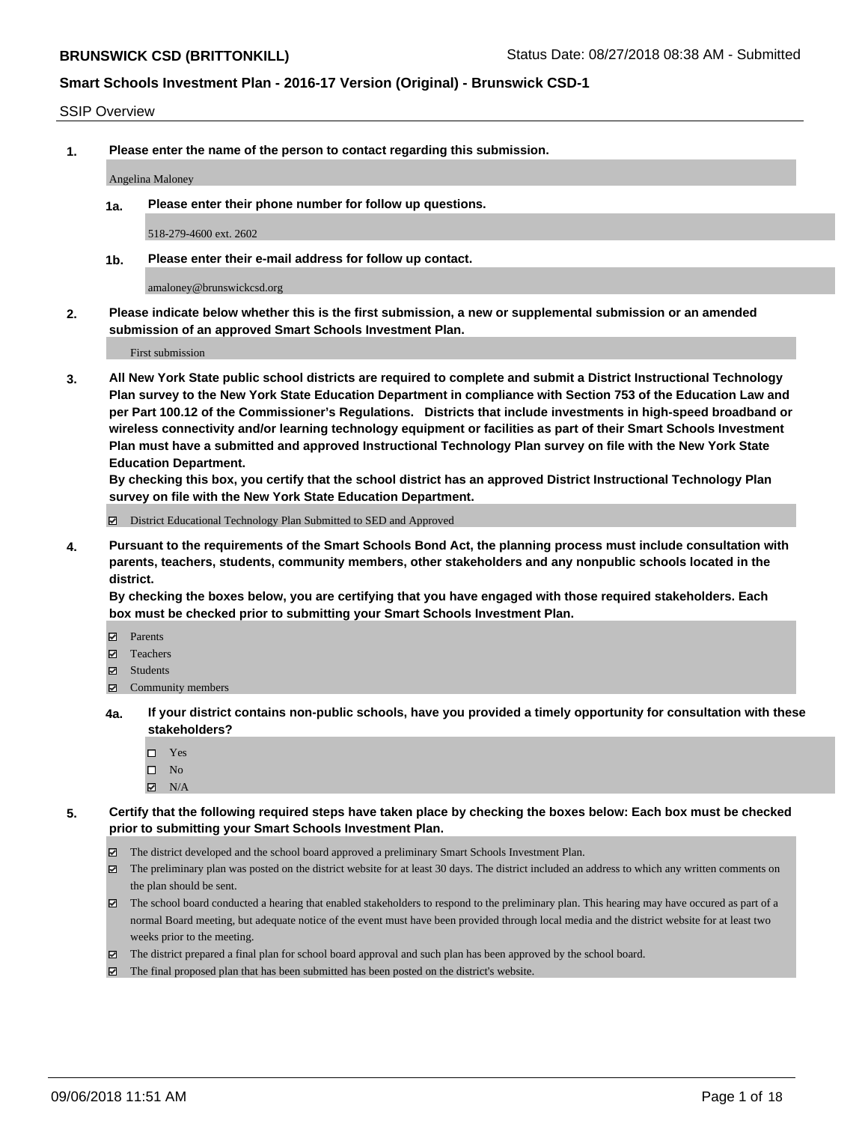#### SSIP Overview

**1. Please enter the name of the person to contact regarding this submission.**

Angelina Maloney

**1a. Please enter their phone number for follow up questions.**

518-279-4600 ext. 2602

**1b. Please enter their e-mail address for follow up contact.**

amaloney@brunswickcsd.org

**2. Please indicate below whether this is the first submission, a new or supplemental submission or an amended submission of an approved Smart Schools Investment Plan.**

First submission

**3. All New York State public school districts are required to complete and submit a District Instructional Technology Plan survey to the New York State Education Department in compliance with Section 753 of the Education Law and per Part 100.12 of the Commissioner's Regulations. Districts that include investments in high-speed broadband or wireless connectivity and/or learning technology equipment or facilities as part of their Smart Schools Investment Plan must have a submitted and approved Instructional Technology Plan survey on file with the New York State Education Department.** 

**By checking this box, you certify that the school district has an approved District Instructional Technology Plan survey on file with the New York State Education Department.**

District Educational Technology Plan Submitted to SED and Approved

**4. Pursuant to the requirements of the Smart Schools Bond Act, the planning process must include consultation with parents, teachers, students, community members, other stakeholders and any nonpublic schools located in the district.** 

**By checking the boxes below, you are certifying that you have engaged with those required stakeholders. Each box must be checked prior to submitting your Smart Schools Investment Plan.**

- **Parents**
- Teachers
- **☑** Students
- **☑** Community members
- **4a. If your district contains non-public schools, have you provided a timely opportunity for consultation with these stakeholders?**
	- Yes
	- $\square$  No
	- $\boxtimes$  N/A
- **5. Certify that the following required steps have taken place by checking the boxes below: Each box must be checked prior to submitting your Smart Schools Investment Plan.**
	- The district developed and the school board approved a preliminary Smart Schools Investment Plan.
	- $\boxtimes$  The preliminary plan was posted on the district website for at least 30 days. The district included an address to which any written comments on the plan should be sent.
	- The school board conducted a hearing that enabled stakeholders to respond to the preliminary plan. This hearing may have occured as part of a normal Board meeting, but adequate notice of the event must have been provided through local media and the district website for at least two weeks prior to the meeting.
	- The district prepared a final plan for school board approval and such plan has been approved by the school board.
	- The final proposed plan that has been submitted has been posted on the district's website.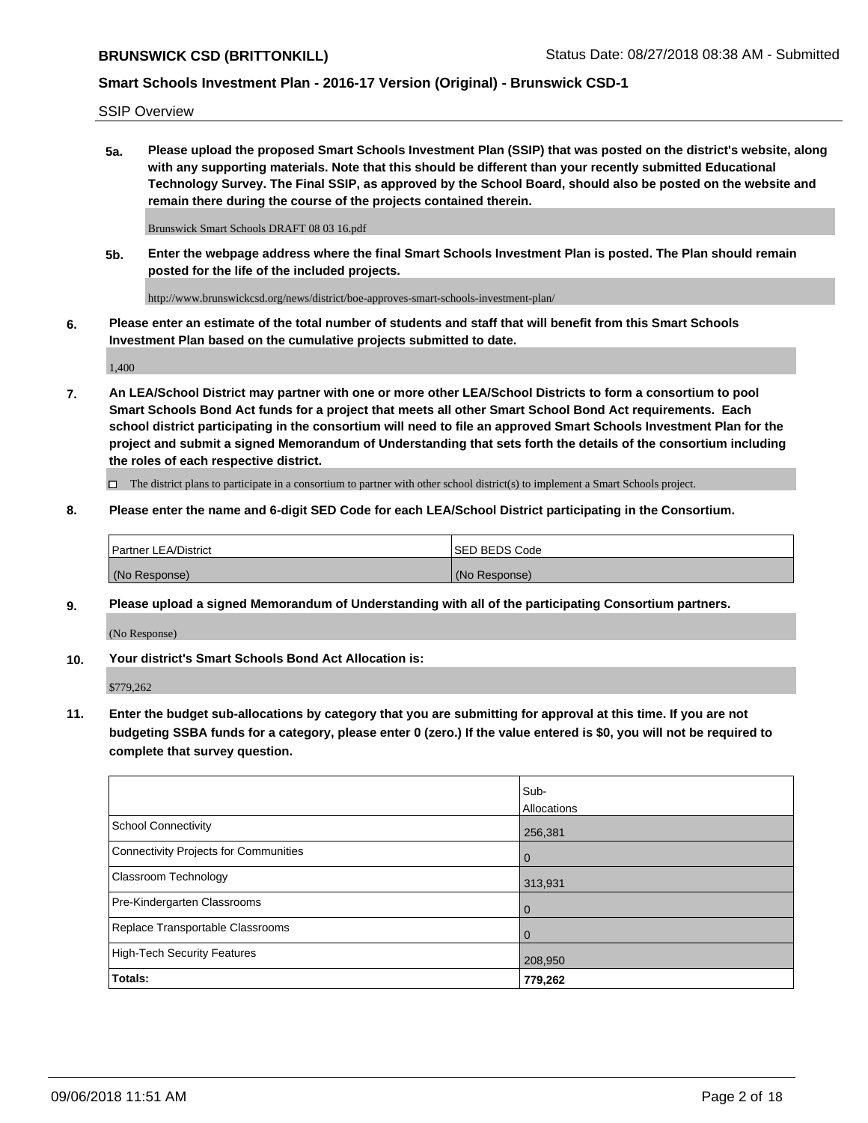SSIP Overview

**5a. Please upload the proposed Smart Schools Investment Plan (SSIP) that was posted on the district's website, along with any supporting materials. Note that this should be different than your recently submitted Educational Technology Survey. The Final SSIP, as approved by the School Board, should also be posted on the website and remain there during the course of the projects contained therein.**

Brunswick Smart Schools DRAFT 08 03 16.pdf

**5b. Enter the webpage address where the final Smart Schools Investment Plan is posted. The Plan should remain posted for the life of the included projects.**

http://www.brunswickcsd.org/news/district/boe-approves-smart-schools-investment-plan/

**6. Please enter an estimate of the total number of students and staff that will benefit from this Smart Schools Investment Plan based on the cumulative projects submitted to date.**

1,400

**7. An LEA/School District may partner with one or more other LEA/School Districts to form a consortium to pool Smart Schools Bond Act funds for a project that meets all other Smart School Bond Act requirements. Each school district participating in the consortium will need to file an approved Smart Schools Investment Plan for the project and submit a signed Memorandum of Understanding that sets forth the details of the consortium including the roles of each respective district.**

 $\Box$  The district plans to participate in a consortium to partner with other school district(s) to implement a Smart Schools project.

#### **8. Please enter the name and 6-digit SED Code for each LEA/School District participating in the Consortium.**

| <b>Partner LEA/District</b> | <b>ISED BEDS Code</b> |
|-----------------------------|-----------------------|
| (No Response)               | (No Response)         |

#### **9. Please upload a signed Memorandum of Understanding with all of the participating Consortium partners.**

(No Response)

**10. Your district's Smart Schools Bond Act Allocation is:**

\$779,262

**11. Enter the budget sub-allocations by category that you are submitting for approval at this time. If you are not budgeting SSBA funds for a category, please enter 0 (zero.) If the value entered is \$0, you will not be required to complete that survey question.**

|                                       | Sub-<br>Allocations |
|---------------------------------------|---------------------|
| <b>School Connectivity</b>            | 256,381             |
| Connectivity Projects for Communities | $\mathbf 0$         |
| <b>Classroom Technology</b>           | 313,931             |
| Pre-Kindergarten Classrooms           | $\overline{0}$      |
| Replace Transportable Classrooms      | $\Omega$            |
| High-Tech Security Features           | 208,950             |
| <b>Totals:</b>                        | 779,262             |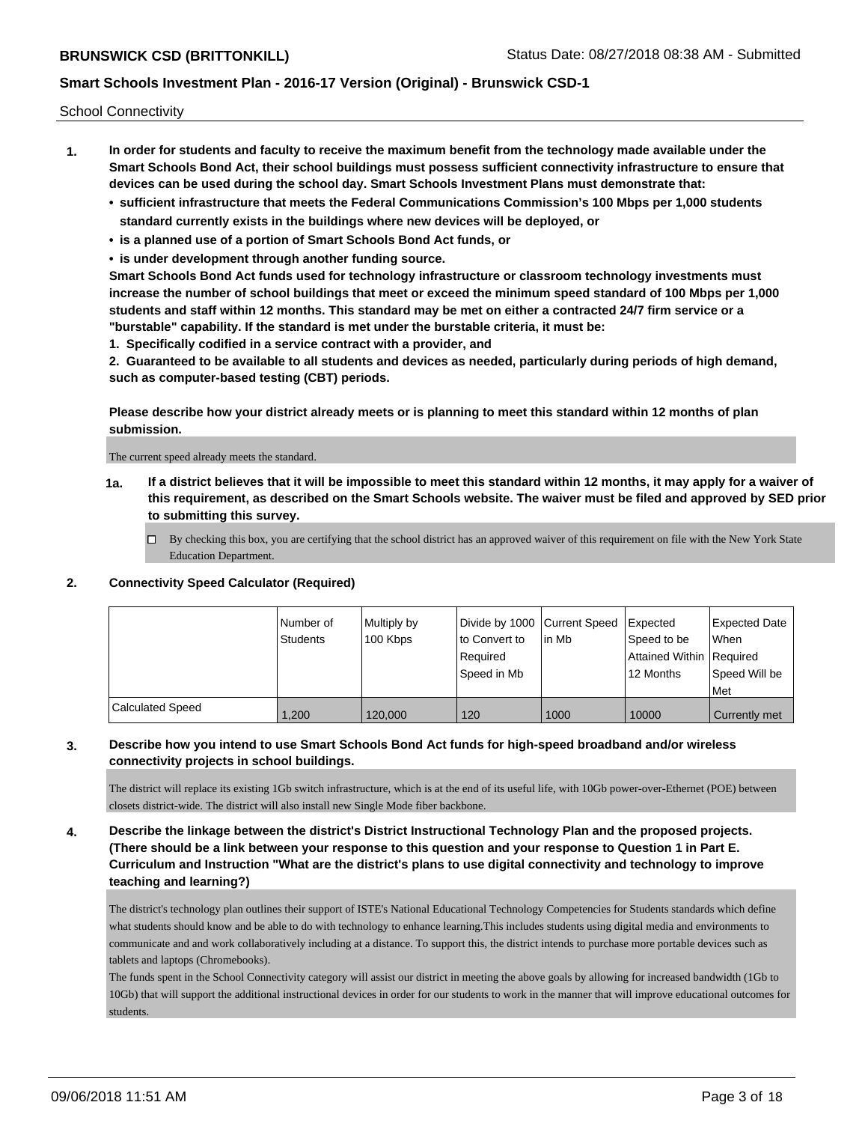School Connectivity

- **1. In order for students and faculty to receive the maximum benefit from the technology made available under the Smart Schools Bond Act, their school buildings must possess sufficient connectivity infrastructure to ensure that devices can be used during the school day. Smart Schools Investment Plans must demonstrate that:**
	- **• sufficient infrastructure that meets the Federal Communications Commission's 100 Mbps per 1,000 students standard currently exists in the buildings where new devices will be deployed, or**
	- **• is a planned use of a portion of Smart Schools Bond Act funds, or**
	- **• is under development through another funding source.**

**Smart Schools Bond Act funds used for technology infrastructure or classroom technology investments must increase the number of school buildings that meet or exceed the minimum speed standard of 100 Mbps per 1,000 students and staff within 12 months. This standard may be met on either a contracted 24/7 firm service or a "burstable" capability. If the standard is met under the burstable criteria, it must be:**

**1. Specifically codified in a service contract with a provider, and**

**2. Guaranteed to be available to all students and devices as needed, particularly during periods of high demand, such as computer-based testing (CBT) periods.**

**Please describe how your district already meets or is planning to meet this standard within 12 months of plan submission.**

The current speed already meets the standard.

**1a. If a district believes that it will be impossible to meet this standard within 12 months, it may apply for a waiver of this requirement, as described on the Smart Schools website. The waiver must be filed and approved by SED prior to submitting this survey.**

 $\Box$  By checking this box, you are certifying that the school district has an approved waiver of this requirement on file with the New York State Education Department.

#### **2. Connectivity Speed Calculator (Required)**

|                         | Number of<br><b>Students</b> | Multiply by<br>100 Kbps | Divide by 1000 Current Speed<br>to Convert to<br>Required<br>Speed in Mb | l in Mb | Expected<br>Speed to be<br>Attained Within Required<br>12 Months | <b>Expected Date</b><br>When<br>Speed Will be<br>Met |
|-------------------------|------------------------------|-------------------------|--------------------------------------------------------------------------|---------|------------------------------------------------------------------|------------------------------------------------------|
| <b>Calculated Speed</b> | 1.200                        | 120,000                 | 120                                                                      | 1000    | 10000                                                            | Currently met                                        |

### **3. Describe how you intend to use Smart Schools Bond Act funds for high-speed broadband and/or wireless connectivity projects in school buildings.**

The district will replace its existing 1Gb switch infrastructure, which is at the end of its useful life, with 10Gb power-over-Ethernet (POE) between closets district-wide. The district will also install new Single Mode fiber backbone.

**4. Describe the linkage between the district's District Instructional Technology Plan and the proposed projects. (There should be a link between your response to this question and your response to Question 1 in Part E. Curriculum and Instruction "What are the district's plans to use digital connectivity and technology to improve teaching and learning?)**

The district's technology plan outlines their support of ISTE's National Educational Technology Competencies for Students standards which define what students should know and be able to do with technology to enhance learning.This includes students using digital media and environments to communicate and and work collaboratively including at a distance. To support this, the district intends to purchase more portable devices such as tablets and laptops (Chromebooks).

The funds spent in the School Connectivity category will assist our district in meeting the above goals by allowing for increased bandwidth (1Gb to 10Gb) that will support the additional instructional devices in order for our students to work in the manner that will improve educational outcomes for students.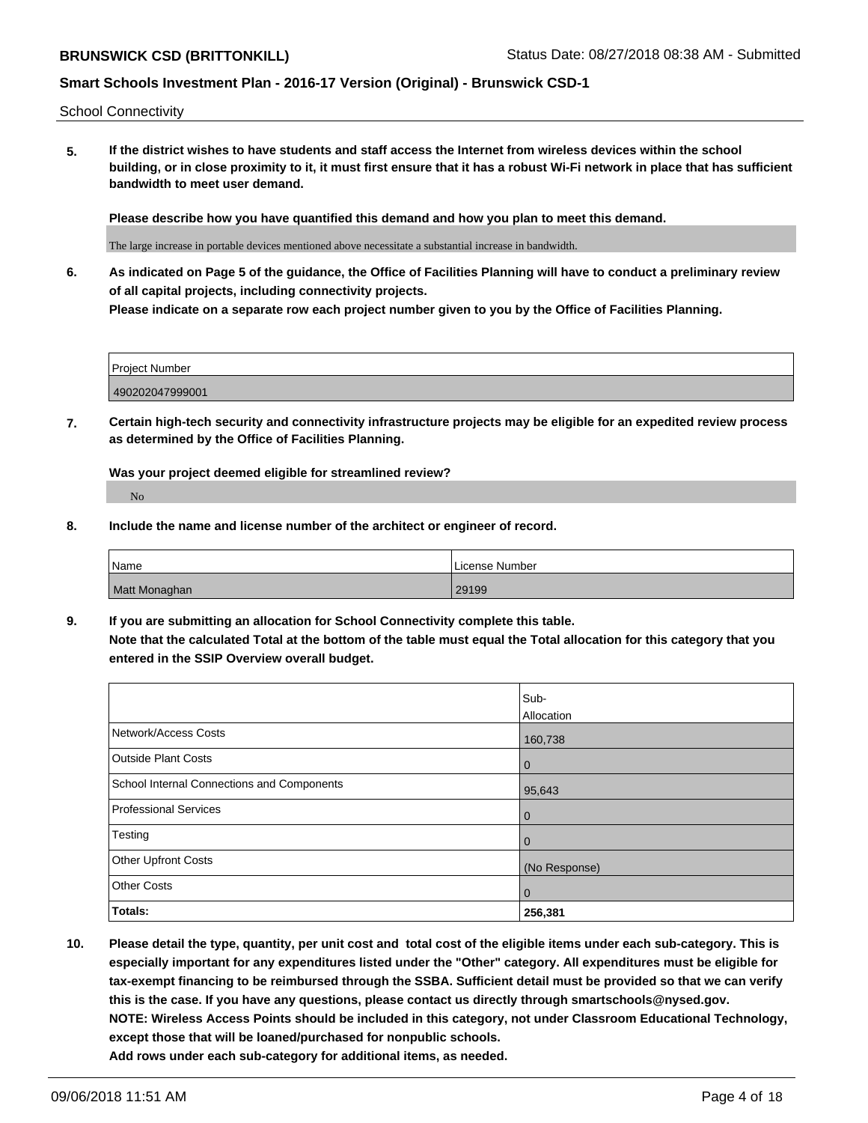School Connectivity

**5. If the district wishes to have students and staff access the Internet from wireless devices within the school building, or in close proximity to it, it must first ensure that it has a robust Wi-Fi network in place that has sufficient bandwidth to meet user demand.**

**Please describe how you have quantified this demand and how you plan to meet this demand.**

The large increase in portable devices mentioned above necessitate a substantial increase in bandwidth.

**6. As indicated on Page 5 of the guidance, the Office of Facilities Planning will have to conduct a preliminary review of all capital projects, including connectivity projects. Please indicate on a separate row each project number given to you by the Office of Facilities Planning.**

| Project Number  |  |
|-----------------|--|
| 490202047999001 |  |

**7. Certain high-tech security and connectivity infrastructure projects may be eligible for an expedited review process as determined by the Office of Facilities Planning.**

**Was your project deemed eligible for streamlined review?** No

**8. Include the name and license number of the architect or engineer of record.**

| Name          | License Number |
|---------------|----------------|
| Matt Monaghan | 29199          |

**9. If you are submitting an allocation for School Connectivity complete this table. Note that the calculated Total at the bottom of the table must equal the Total allocation for this category that you entered in the SSIP Overview overall budget.** 

|                                            | Sub-<br>Allocation |
|--------------------------------------------|--------------------|
| Network/Access Costs                       | 160,738            |
| <b>Outside Plant Costs</b>                 | $\mathbf 0$        |
| School Internal Connections and Components | 95,643             |
| <b>Professional Services</b>               | $\mathbf 0$        |
| Testing                                    | 0                  |
| <b>Other Upfront Costs</b>                 | (No Response)      |
| <b>Other Costs</b>                         | $\mathbf 0$        |
| Totals:                                    | 256,381            |

**10. Please detail the type, quantity, per unit cost and total cost of the eligible items under each sub-category. This is especially important for any expenditures listed under the "Other" category. All expenditures must be eligible for tax-exempt financing to be reimbursed through the SSBA. Sufficient detail must be provided so that we can verify this is the case. If you have any questions, please contact us directly through smartschools@nysed.gov. NOTE: Wireless Access Points should be included in this category, not under Classroom Educational Technology, except those that will be loaned/purchased for nonpublic schools. Add rows under each sub-category for additional items, as needed.**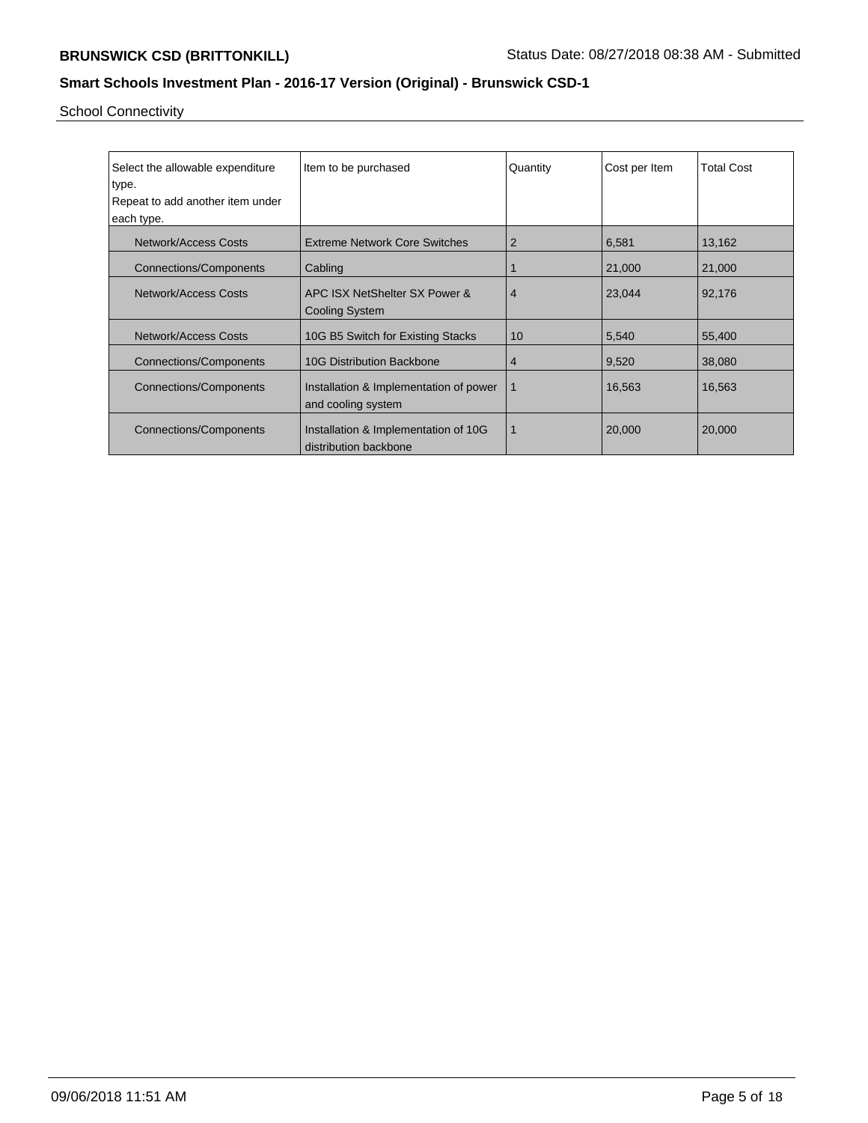School Connectivity

| Select the allowable expenditure<br>type. | Item to be purchased                                          | Quantity       | Cost per Item | <b>Total Cost</b> |
|-------------------------------------------|---------------------------------------------------------------|----------------|---------------|-------------------|
| Repeat to add another item under          |                                                               |                |               |                   |
|                                           |                                                               |                |               |                   |
| each type.                                |                                                               |                |               |                   |
| <b>Network/Access Costs</b>               | <b>Extreme Network Core Switches</b>                          | 2              | 6,581         | 13,162            |
| <b>Connections/Components</b>             | Cabling                                                       |                | 21,000        | 21,000            |
| Network/Access Costs                      | APC ISX NetShelter SX Power &<br><b>Cooling System</b>        | $\overline{4}$ | 23,044        | 92,176            |
|                                           |                                                               |                |               |                   |
| Network/Access Costs                      | 10G B5 Switch for Existing Stacks                             | 10             | 5,540         | 55,400            |
| <b>Connections/Components</b>             | <b>10G Distribution Backbone</b>                              | 4              | 9,520         | 38,080            |
| <b>Connections/Components</b>             | Installation & Implementation of power<br>and cooling system  | 1              | 16,563        | 16,563            |
| <b>Connections/Components</b>             | Installation & Implementation of 10G<br>distribution backbone |                | 20,000        | 20,000            |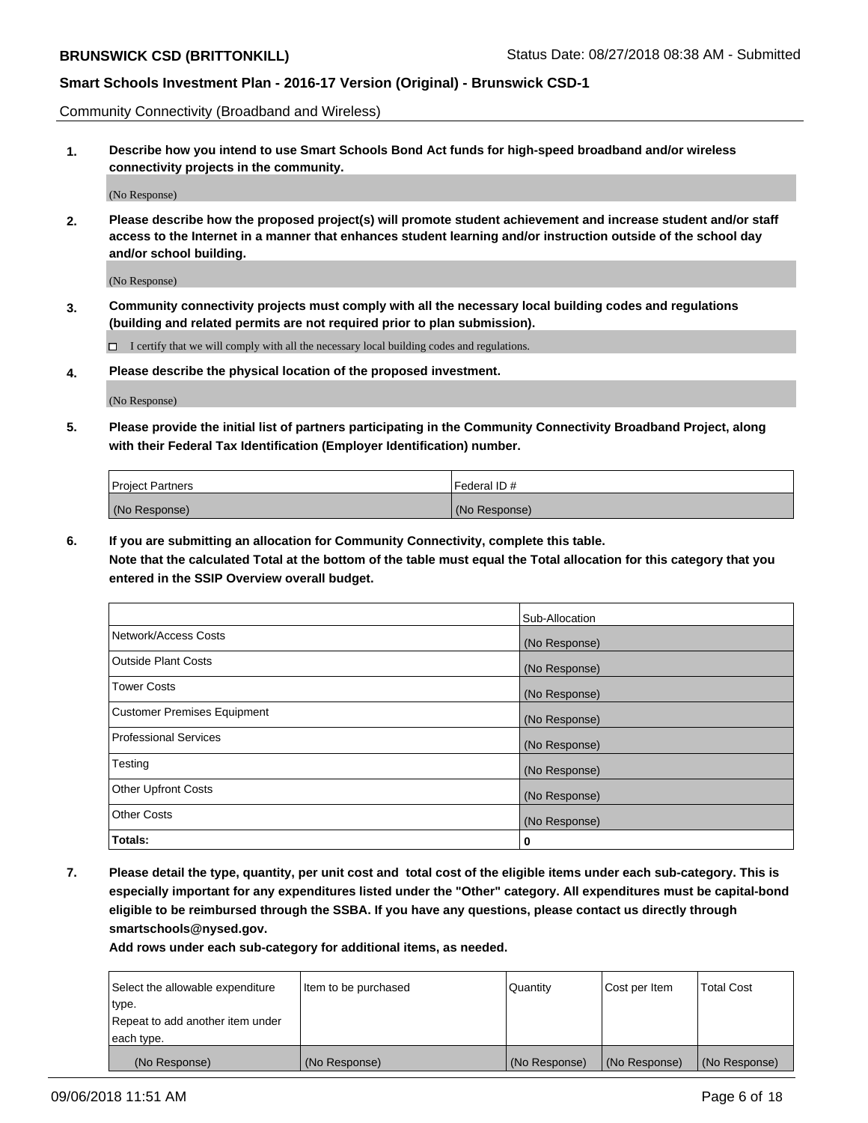Community Connectivity (Broadband and Wireless)

**1. Describe how you intend to use Smart Schools Bond Act funds for high-speed broadband and/or wireless connectivity projects in the community.**

(No Response)

**2. Please describe how the proposed project(s) will promote student achievement and increase student and/or staff access to the Internet in a manner that enhances student learning and/or instruction outside of the school day and/or school building.**

(No Response)

**3. Community connectivity projects must comply with all the necessary local building codes and regulations (building and related permits are not required prior to plan submission).**

 $\Box$  I certify that we will comply with all the necessary local building codes and regulations.

**4. Please describe the physical location of the proposed investment.**

(No Response)

**5. Please provide the initial list of partners participating in the Community Connectivity Broadband Project, along with their Federal Tax Identification (Employer Identification) number.**

| <b>Project Partners</b> | l Federal ID # |
|-------------------------|----------------|
| (No Response)           | (No Response)  |

**6. If you are submitting an allocation for Community Connectivity, complete this table.**

**Note that the calculated Total at the bottom of the table must equal the Total allocation for this category that you entered in the SSIP Overview overall budget.**

|                              | Sub-Allocation |
|------------------------------|----------------|
| Network/Access Costs         | (No Response)  |
| Outside Plant Costs          | (No Response)  |
| <b>Tower Costs</b>           | (No Response)  |
| Customer Premises Equipment  | (No Response)  |
| <b>Professional Services</b> | (No Response)  |
| Testing                      | (No Response)  |
| <b>Other Upfront Costs</b>   | (No Response)  |
| <b>Other Costs</b>           | (No Response)  |
| Totals:                      | 0              |

**7. Please detail the type, quantity, per unit cost and total cost of the eligible items under each sub-category. This is especially important for any expenditures listed under the "Other" category. All expenditures must be capital-bond eligible to be reimbursed through the SSBA. If you have any questions, please contact us directly through smartschools@nysed.gov.**

| Select the allowable expenditure | Item to be purchased | Quantity      | Cost per Item | <b>Total Cost</b> |
|----------------------------------|----------------------|---------------|---------------|-------------------|
| type.                            |                      |               |               |                   |
| Repeat to add another item under |                      |               |               |                   |
| each type.                       |                      |               |               |                   |
| (No Response)                    | (No Response)        | (No Response) | (No Response) | (No Response)     |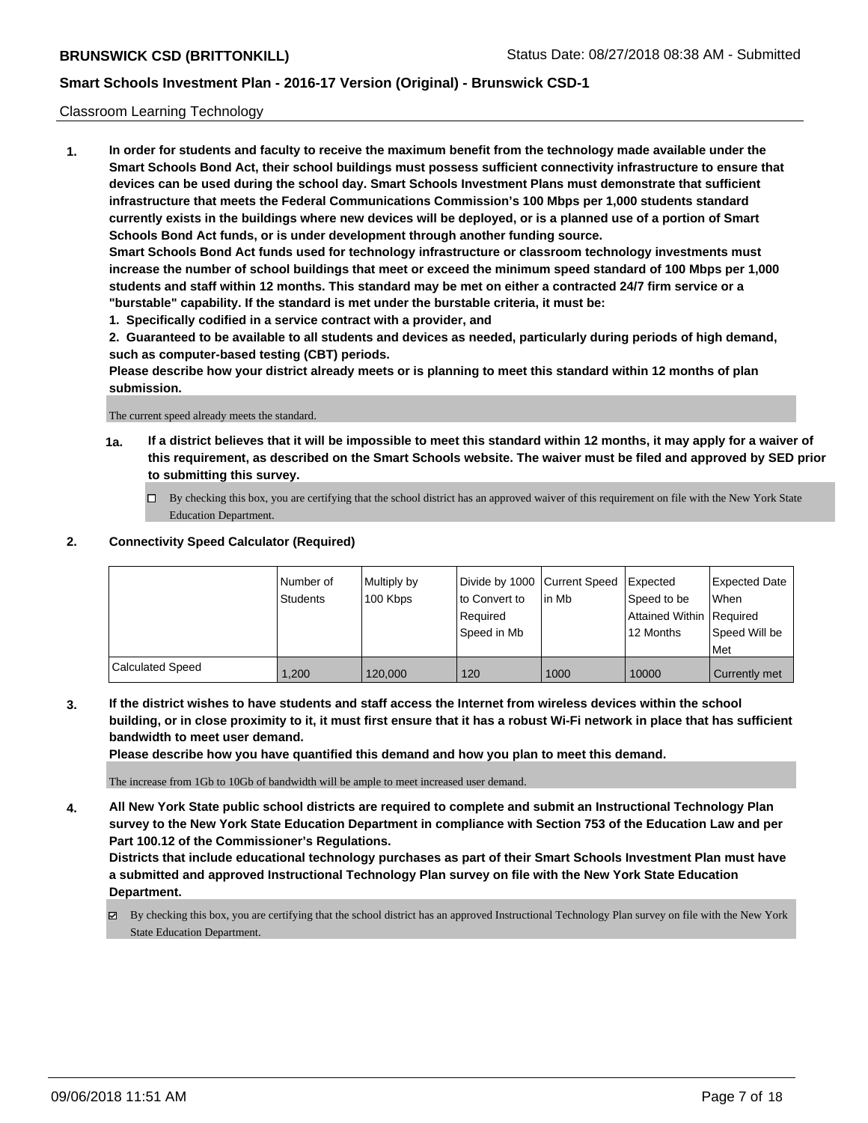#### Classroom Learning Technology

**1. In order for students and faculty to receive the maximum benefit from the technology made available under the Smart Schools Bond Act, their school buildings must possess sufficient connectivity infrastructure to ensure that devices can be used during the school day. Smart Schools Investment Plans must demonstrate that sufficient infrastructure that meets the Federal Communications Commission's 100 Mbps per 1,000 students standard currently exists in the buildings where new devices will be deployed, or is a planned use of a portion of Smart Schools Bond Act funds, or is under development through another funding source. Smart Schools Bond Act funds used for technology infrastructure or classroom technology investments must increase the number of school buildings that meet or exceed the minimum speed standard of 100 Mbps per 1,000 students and staff within 12 months. This standard may be met on either a contracted 24/7 firm service or a**

- **"burstable" capability. If the standard is met under the burstable criteria, it must be:**
- **1. Specifically codified in a service contract with a provider, and**

**2. Guaranteed to be available to all students and devices as needed, particularly during periods of high demand, such as computer-based testing (CBT) periods.**

**Please describe how your district already meets or is planning to meet this standard within 12 months of plan submission.**

The current speed already meets the standard.

- **1a. If a district believes that it will be impossible to meet this standard within 12 months, it may apply for a waiver of this requirement, as described on the Smart Schools website. The waiver must be filed and approved by SED prior to submitting this survey.**
	- By checking this box, you are certifying that the school district has an approved waiver of this requirement on file with the New York State Education Department.

#### **2. Connectivity Speed Calculator (Required)**

|                         | Number of<br><b>Students</b> | Multiply by<br>100 Kbps | Divide by 1000 Current Speed<br>to Convert to<br>Required<br>l Speed in Mb | lin Mb | <b>I</b> Expected<br>Speed to be<br>Attained Within Required<br>12 Months | Expected Date<br><b>When</b><br>Speed Will be<br><b>Met</b> |
|-------------------------|------------------------------|-------------------------|----------------------------------------------------------------------------|--------|---------------------------------------------------------------------------|-------------------------------------------------------------|
| <b>Calculated Speed</b> | 1.200                        | 120,000                 | 120                                                                        | 1000   | 10000                                                                     | Currently met                                               |

**3. If the district wishes to have students and staff access the Internet from wireless devices within the school building, or in close proximity to it, it must first ensure that it has a robust Wi-Fi network in place that has sufficient bandwidth to meet user demand.**

**Please describe how you have quantified this demand and how you plan to meet this demand.**

The increase from 1Gb to 10Gb of bandwidth will be ample to meet increased user demand.

**4. All New York State public school districts are required to complete and submit an Instructional Technology Plan survey to the New York State Education Department in compliance with Section 753 of the Education Law and per Part 100.12 of the Commissioner's Regulations.**

**Districts that include educational technology purchases as part of their Smart Schools Investment Plan must have a submitted and approved Instructional Technology Plan survey on file with the New York State Education Department.**

By checking this box, you are certifying that the school district has an approved Instructional Technology Plan survey on file with the New York State Education Department.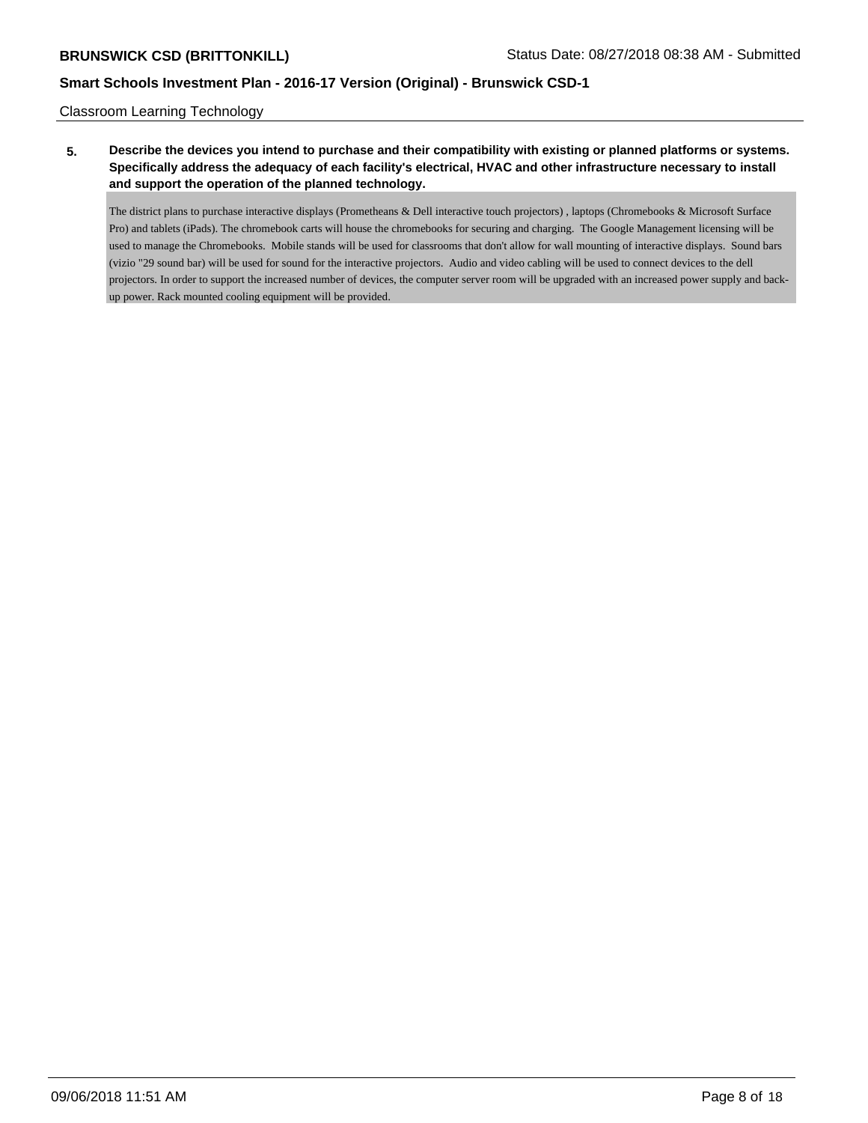Classroom Learning Technology

# **5. Describe the devices you intend to purchase and their compatibility with existing or planned platforms or systems. Specifically address the adequacy of each facility's electrical, HVAC and other infrastructure necessary to install and support the operation of the planned technology.**

The district plans to purchase interactive displays (Prometheans & Dell interactive touch projectors) , laptops (Chromebooks & Microsoft Surface Pro) and tablets (iPads). The chromebook carts will house the chromebooks for securing and charging. The Google Management licensing will be used to manage the Chromebooks. Mobile stands will be used for classrooms that don't allow for wall mounting of interactive displays. Sound bars (vizio "29 sound bar) will be used for sound for the interactive projectors. Audio and video cabling will be used to connect devices to the dell projectors. In order to support the increased number of devices, the computer server room will be upgraded with an increased power supply and backup power. Rack mounted cooling equipment will be provided.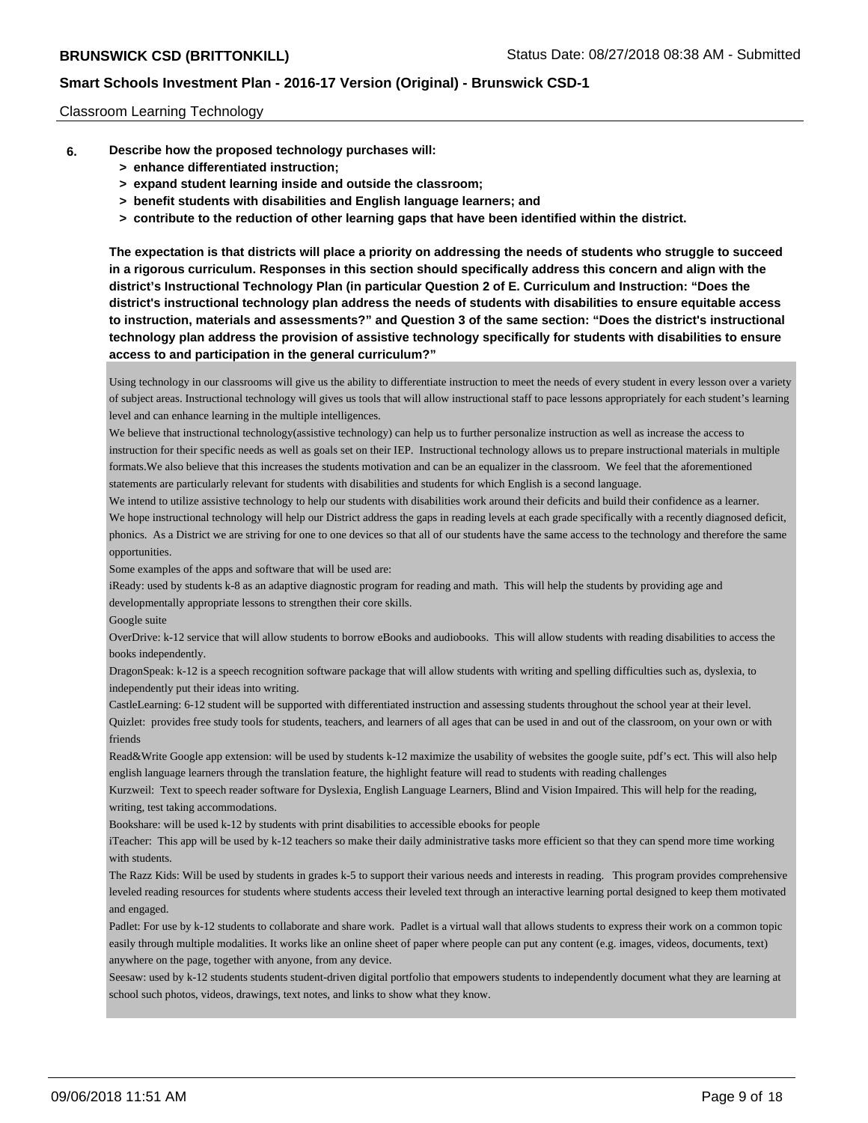#### Classroom Learning Technology

- **6. Describe how the proposed technology purchases will:**
	- **> enhance differentiated instruction;**
	- **> expand student learning inside and outside the classroom;**
	- **> benefit students with disabilities and English language learners; and**
	- **> contribute to the reduction of other learning gaps that have been identified within the district.**

**The expectation is that districts will place a priority on addressing the needs of students who struggle to succeed in a rigorous curriculum. Responses in this section should specifically address this concern and align with the district's Instructional Technology Plan (in particular Question 2 of E. Curriculum and Instruction: "Does the district's instructional technology plan address the needs of students with disabilities to ensure equitable access to instruction, materials and assessments?" and Question 3 of the same section: "Does the district's instructional technology plan address the provision of assistive technology specifically for students with disabilities to ensure access to and participation in the general curriculum?"**

Using technology in our classrooms will give us the ability to differentiate instruction to meet the needs of every student in every lesson over a variety of subject areas. Instructional technology will gives us tools that will allow instructional staff to pace lessons appropriately for each student's learning level and can enhance learning in the multiple intelligences.

We believe that instructional technology(assistive technology) can help us to further personalize instruction as well as increase the access to instruction for their specific needs as well as goals set on their IEP. Instructional technology allows us to prepare instructional materials in multiple formats.We also believe that this increases the students motivation and can be an equalizer in the classroom. We feel that the aforementioned statements are particularly relevant for students with disabilities and students for which English is a second language.

We intend to utilize assistive technology to help our students with disabilities work around their deficits and build their confidence as a learner.

We hope instructional technology will help our District address the gaps in reading levels at each grade specifically with a recently diagnosed deficit, phonics. As a District we are striving for one to one devices so that all of our students have the same access to the technology and therefore the same opportunities.

Some examples of the apps and software that will be used are:

iReady: used by students k-8 as an adaptive diagnostic program for reading and math. This will help the students by providing age and developmentally appropriate lessons to strengthen their core skills.

Google suite

OverDrive: k-12 service that will allow students to borrow eBooks and audiobooks. This will allow students with reading disabilities to access the books independently.

DragonSpeak: k-12 is a speech recognition software package that will allow students with writing and spelling difficulties such as, dyslexia, to independently put their ideas into writing.

CastleLearning: 6-12 student will be supported with differentiated instruction and assessing students throughout the school year at their level. Quizlet: provides free study tools for students, teachers, and learners of all ages that can be used in and out of the classroom, on your own or with friends

Read&Write Google app extension: will be used by students k-12 maximize the usability of websites the google suite, pdf's ect. This will also help english language learners through the translation feature, the highlight feature will read to students with reading challenges

Kurzweil: Text to speech reader software for Dyslexia, English Language Learners, Blind and Vision Impaired. This will help for the reading, writing, test taking accommodations.

Bookshare: will be used k-12 by students with print disabilities to accessible ebooks for people

iTeacher: This app will be used by k-12 teachers so make their daily administrative tasks more efficient so that they can spend more time working with students.

The Razz Kids: Will be used by students in grades k-5 to support their various needs and interests in reading. This program provides comprehensive leveled reading resources for students where students access their leveled text through an interactive learning portal designed to keep them motivated and engaged.

Padlet: For use by k-12 students to collaborate and share work. Padlet is a virtual wall that allows students to express their work on a common topic easily through multiple modalities. It works like an online sheet of paper where people can put any content (e.g. images, videos, documents, text) anywhere on the page, together with anyone, from any device.

Seesaw: used by k-12 students students student-driven digital portfolio that empowers students to independently document what they are learning at school such photos, videos, drawings, text notes, and links to show what they know.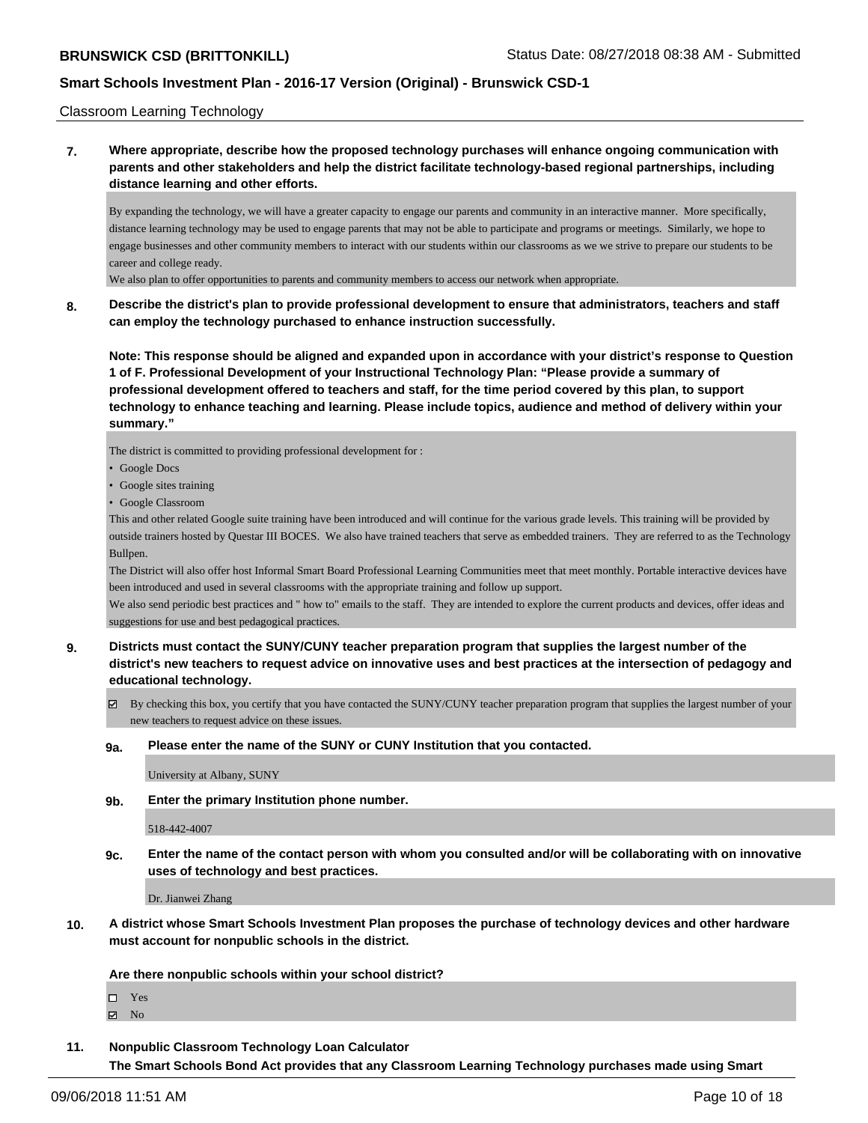Classroom Learning Technology

# **7. Where appropriate, describe how the proposed technology purchases will enhance ongoing communication with parents and other stakeholders and help the district facilitate technology-based regional partnerships, including distance learning and other efforts.**

By expanding the technology, we will have a greater capacity to engage our parents and community in an interactive manner. More specifically, distance learning technology may be used to engage parents that may not be able to participate and programs or meetings. Similarly, we hope to engage businesses and other community members to interact with our students within our classrooms as we we strive to prepare our students to be career and college ready.

We also plan to offer opportunities to parents and community members to access our network when appropriate.

### **8. Describe the district's plan to provide professional development to ensure that administrators, teachers and staff can employ the technology purchased to enhance instruction successfully.**

**Note: This response should be aligned and expanded upon in accordance with your district's response to Question 1 of F. Professional Development of your Instructional Technology Plan: "Please provide a summary of professional development offered to teachers and staff, for the time period covered by this plan, to support technology to enhance teaching and learning. Please include topics, audience and method of delivery within your summary."**

The district is committed to providing professional development for :

- Google Docs
- Google sites training
- Google Classroom

This and other related Google suite training have been introduced and will continue for the various grade levels. This training will be provided by outside trainers hosted by Questar III BOCES. We also have trained teachers that serve as embedded trainers. They are referred to as the Technology Bullpen.

The District will also offer host Informal Smart Board Professional Learning Communities meet that meet monthly. Portable interactive devices have been introduced and used in several classrooms with the appropriate training and follow up support.

We also send periodic best practices and " how to" emails to the staff. They are intended to explore the current products and devices, offer ideas and suggestions for use and best pedagogical practices.

- **9. Districts must contact the SUNY/CUNY teacher preparation program that supplies the largest number of the district's new teachers to request advice on innovative uses and best practices at the intersection of pedagogy and educational technology.**
	- $\boxtimes$  By checking this box, you certify that you have contacted the SUNY/CUNY teacher preparation program that supplies the largest number of your new teachers to request advice on these issues.

#### **9a. Please enter the name of the SUNY or CUNY Institution that you contacted.**

University at Albany, SUNY

**9b. Enter the primary Institution phone number.**

518-442-4007

**9c. Enter the name of the contact person with whom you consulted and/or will be collaborating with on innovative uses of technology and best practices.**

Dr. Jianwei Zhang

**10. A district whose Smart Schools Investment Plan proposes the purchase of technology devices and other hardware must account for nonpublic schools in the district.**

**Are there nonpublic schools within your school district?**

□ Yes

 $\boxtimes$  No

**11. Nonpublic Classroom Technology Loan Calculator**

**The Smart Schools Bond Act provides that any Classroom Learning Technology purchases made using Smart**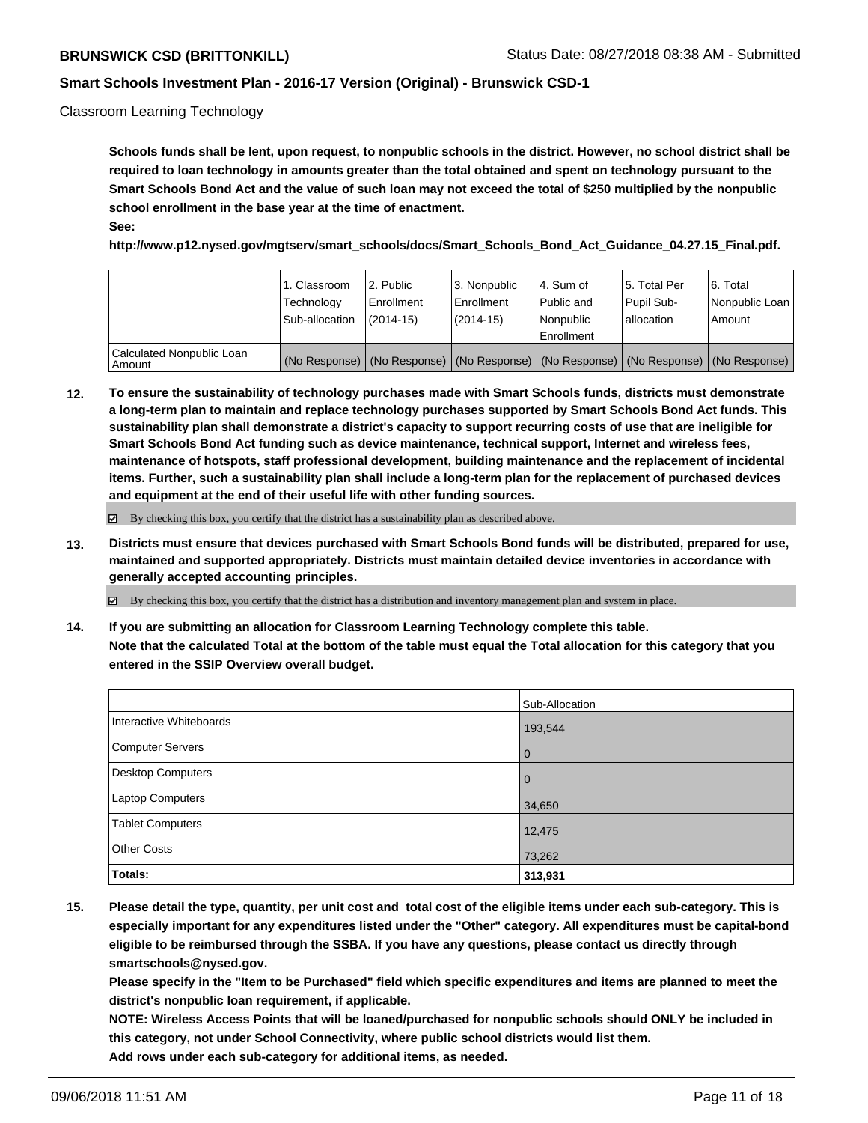#### Classroom Learning Technology

**Schools funds shall be lent, upon request, to nonpublic schools in the district. However, no school district shall be required to loan technology in amounts greater than the total obtained and spent on technology pursuant to the Smart Schools Bond Act and the value of such loan may not exceed the total of \$250 multiplied by the nonpublic school enrollment in the base year at the time of enactment. See:**

**http://www.p12.nysed.gov/mgtserv/smart\_schools/docs/Smart\_Schools\_Bond\_Act\_Guidance\_04.27.15\_Final.pdf.**

|                                       | 1. Classroom<br>Technology<br>Sub-allocation | l 2. Public<br>Enrollment<br>$(2014 - 15)$ | l 3. Nonpublic<br>Enrollment<br>(2014-15) | 4. Sum of<br>Public and<br>l Nonpublic<br>Enrollment | l 5. Total Per<br>Pupil Sub-<br>lallocation                                                   | l 6. Total<br>Nonpublic Loan<br>Amount |
|---------------------------------------|----------------------------------------------|--------------------------------------------|-------------------------------------------|------------------------------------------------------|-----------------------------------------------------------------------------------------------|----------------------------------------|
| Calculated Nonpublic Loan<br>l Amount |                                              |                                            |                                           |                                                      | (No Response)   (No Response)   (No Response)   (No Response)   (No Response)   (No Response) |                                        |

**12. To ensure the sustainability of technology purchases made with Smart Schools funds, districts must demonstrate a long-term plan to maintain and replace technology purchases supported by Smart Schools Bond Act funds. This sustainability plan shall demonstrate a district's capacity to support recurring costs of use that are ineligible for Smart Schools Bond Act funding such as device maintenance, technical support, Internet and wireless fees, maintenance of hotspots, staff professional development, building maintenance and the replacement of incidental items. Further, such a sustainability plan shall include a long-term plan for the replacement of purchased devices and equipment at the end of their useful life with other funding sources.**

By checking this box, you certify that the district has a sustainability plan as described above.

**13. Districts must ensure that devices purchased with Smart Schools Bond funds will be distributed, prepared for use, maintained and supported appropriately. Districts must maintain detailed device inventories in accordance with generally accepted accounting principles.**

By checking this box, you certify that the district has a distribution and inventory management plan and system in place.

**14. If you are submitting an allocation for Classroom Learning Technology complete this table. Note that the calculated Total at the bottom of the table must equal the Total allocation for this category that you entered in the SSIP Overview overall budget.**

|                          | Sub-Allocation |
|--------------------------|----------------|
| Interactive Whiteboards  | 193,544        |
| <b>Computer Servers</b>  | $\overline{0}$ |
| <b>Desktop Computers</b> | $\mathbf 0$    |
| Laptop Computers         | 34,650         |
| <b>Tablet Computers</b>  | 12,475         |
| <b>Other Costs</b>       | 73,262         |
| Totals:                  | 313,931        |

**15. Please detail the type, quantity, per unit cost and total cost of the eligible items under each sub-category. This is especially important for any expenditures listed under the "Other" category. All expenditures must be capital-bond eligible to be reimbursed through the SSBA. If you have any questions, please contact us directly through smartschools@nysed.gov.**

**Please specify in the "Item to be Purchased" field which specific expenditures and items are planned to meet the district's nonpublic loan requirement, if applicable.**

**NOTE: Wireless Access Points that will be loaned/purchased for nonpublic schools should ONLY be included in this category, not under School Connectivity, where public school districts would list them. Add rows under each sub-category for additional items, as needed.**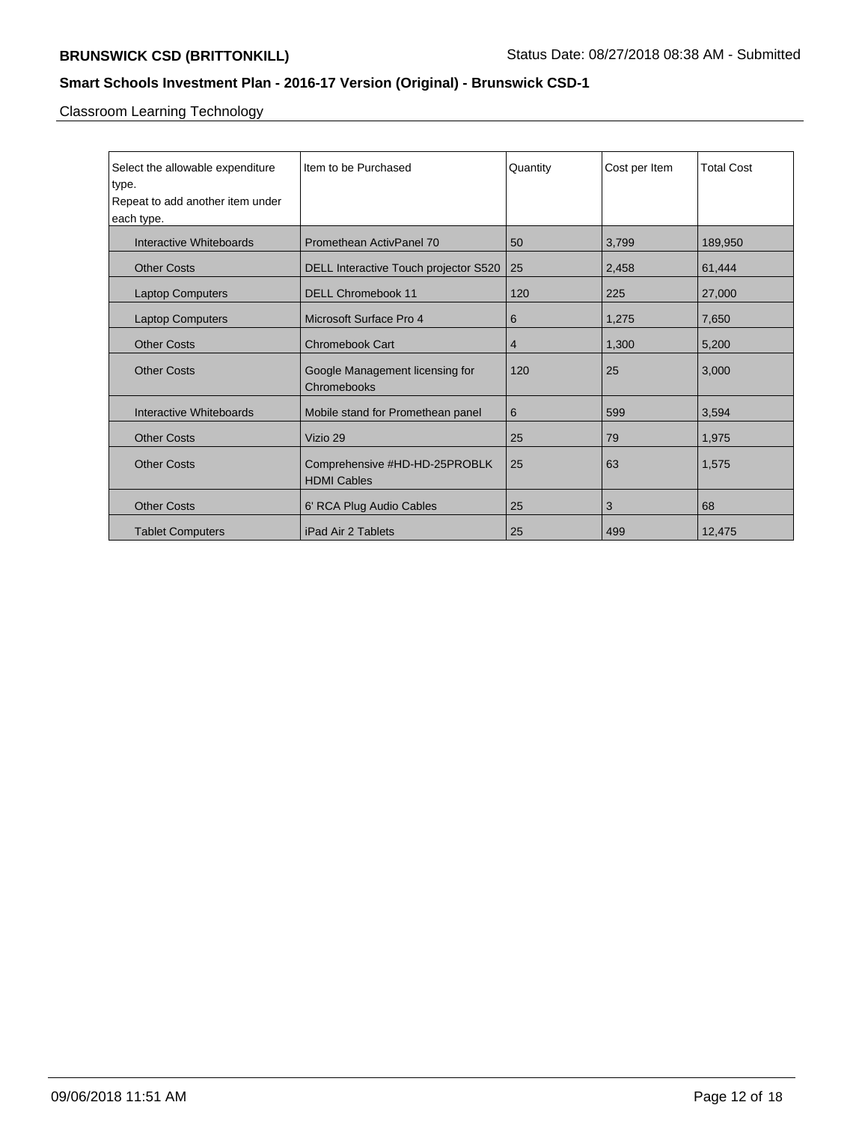Classroom Learning Technology

| Select the allowable expenditure<br>type. | Item to be Purchased                                | Quantity | Cost per Item | <b>Total Cost</b> |
|-------------------------------------------|-----------------------------------------------------|----------|---------------|-------------------|
| Repeat to add another item under          |                                                     |          |               |                   |
| each type.                                |                                                     |          |               |                   |
|                                           |                                                     |          |               |                   |
| Interactive Whiteboards                   | Promethean ActivPanel 70                            | 50       | 3,799         | 189,950           |
| <b>Other Costs</b>                        | DELL Interactive Touch projector S520               | 25       | 2,458         | 61,444            |
| <b>Laptop Computers</b>                   | <b>DELL Chromebook 11</b>                           | 120      | 225           | 27,000            |
| <b>Laptop Computers</b>                   | Microsoft Surface Pro 4                             | 6        | 1,275         | 7,650             |
| <b>Other Costs</b>                        | <b>Chromebook Cart</b>                              | 4        | 1,300         | 5,200             |
| <b>Other Costs</b>                        | Google Management licensing for<br>Chromebooks      | 120      | 25            | 3,000             |
| Interactive Whiteboards                   | Mobile stand for Promethean panel                   | 6        | 599           | 3,594             |
| <b>Other Costs</b>                        | Vizio 29                                            | 25       | 79            | 1,975             |
| <b>Other Costs</b>                        | Comprehensive #HD-HD-25PROBLK<br><b>HDMI Cables</b> | 25       | 63            | 1,575             |
| <b>Other Costs</b>                        | 6' RCA Plug Audio Cables                            | 25       | 3             | 68                |
| <b>Tablet Computers</b>                   | iPad Air 2 Tablets                                  | 25       | 499           | 12,475            |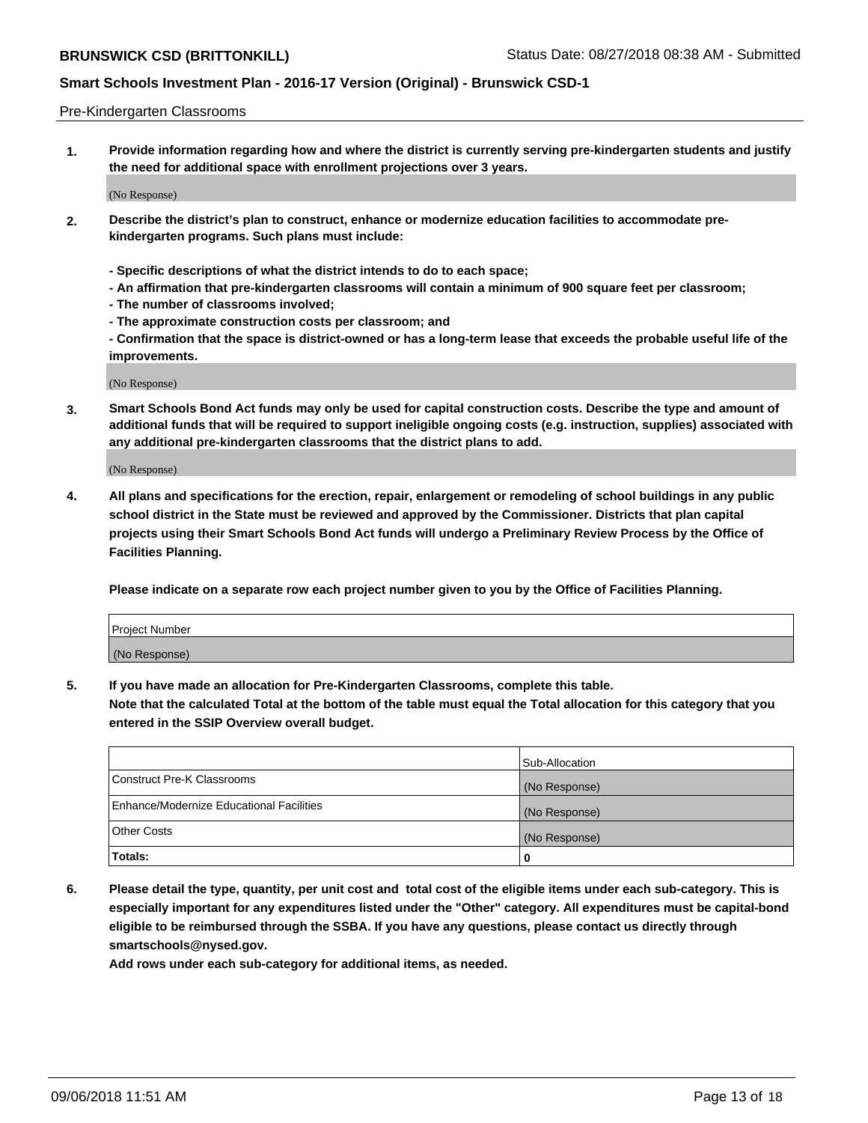#### Pre-Kindergarten Classrooms

**1. Provide information regarding how and where the district is currently serving pre-kindergarten students and justify the need for additional space with enrollment projections over 3 years.**

(No Response)

- **2. Describe the district's plan to construct, enhance or modernize education facilities to accommodate prekindergarten programs. Such plans must include:**
	- **Specific descriptions of what the district intends to do to each space;**
	- **An affirmation that pre-kindergarten classrooms will contain a minimum of 900 square feet per classroom;**
	- **The number of classrooms involved;**
	- **The approximate construction costs per classroom; and**
	- **Confirmation that the space is district-owned or has a long-term lease that exceeds the probable useful life of the improvements.**

(No Response)

**3. Smart Schools Bond Act funds may only be used for capital construction costs. Describe the type and amount of additional funds that will be required to support ineligible ongoing costs (e.g. instruction, supplies) associated with any additional pre-kindergarten classrooms that the district plans to add.**

(No Response)

**4. All plans and specifications for the erection, repair, enlargement or remodeling of school buildings in any public school district in the State must be reviewed and approved by the Commissioner. Districts that plan capital projects using their Smart Schools Bond Act funds will undergo a Preliminary Review Process by the Office of Facilities Planning.**

**Please indicate on a separate row each project number given to you by the Office of Facilities Planning.**

| Project Number |  |
|----------------|--|
| (No Response)  |  |
|                |  |

**5. If you have made an allocation for Pre-Kindergarten Classrooms, complete this table.**

**Note that the calculated Total at the bottom of the table must equal the Total allocation for this category that you entered in the SSIP Overview overall budget.**

|                                          | Sub-Allocation |
|------------------------------------------|----------------|
| Construct Pre-K Classrooms               | (No Response)  |
| Enhance/Modernize Educational Facilities | (No Response)  |
| <b>Other Costs</b>                       | (No Response)  |
| Totals:                                  | 0              |

**6. Please detail the type, quantity, per unit cost and total cost of the eligible items under each sub-category. This is especially important for any expenditures listed under the "Other" category. All expenditures must be capital-bond eligible to be reimbursed through the SSBA. If you have any questions, please contact us directly through smartschools@nysed.gov.**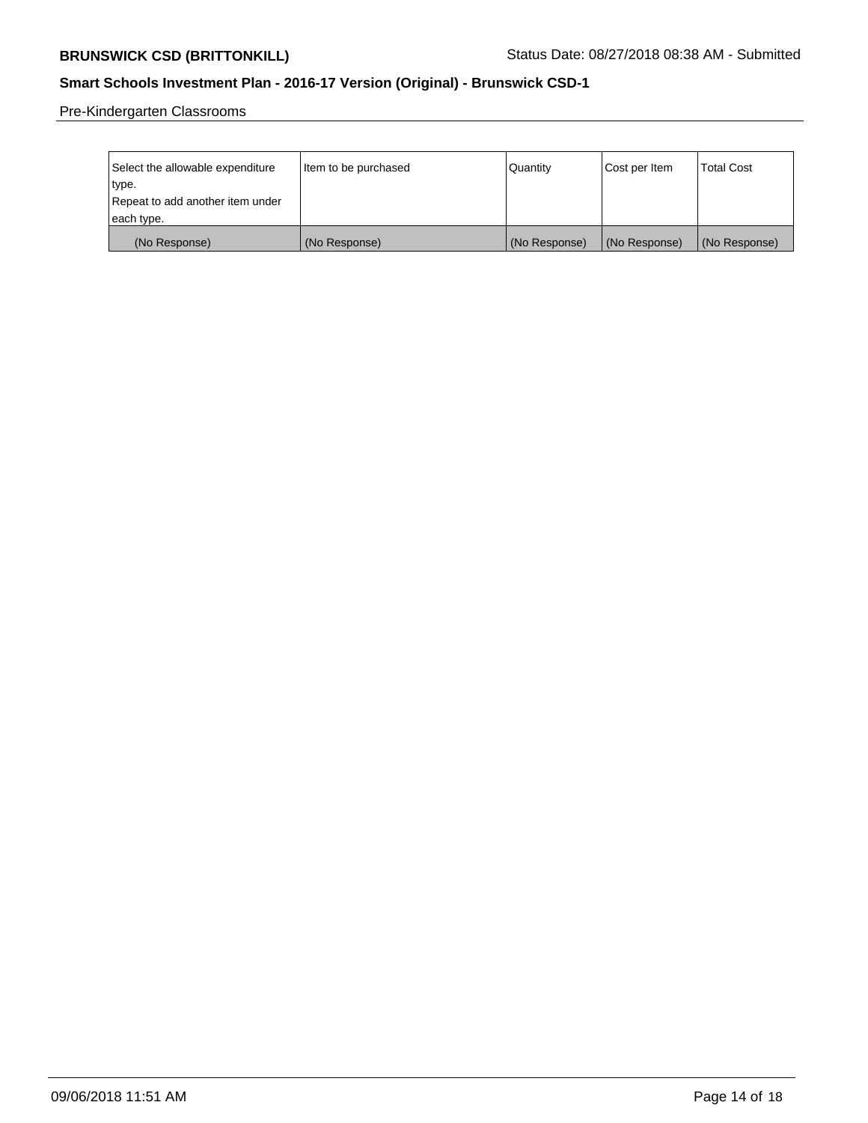Pre-Kindergarten Classrooms

| Select the allowable expenditure | Item to be purchased | Quantity      | Cost per Item | <b>Total Cost</b> |
|----------------------------------|----------------------|---------------|---------------|-------------------|
| type.                            |                      |               |               |                   |
| Repeat to add another item under |                      |               |               |                   |
| each type.                       |                      |               |               |                   |
| (No Response)                    | (No Response)        | (No Response) | (No Response) | (No Response)     |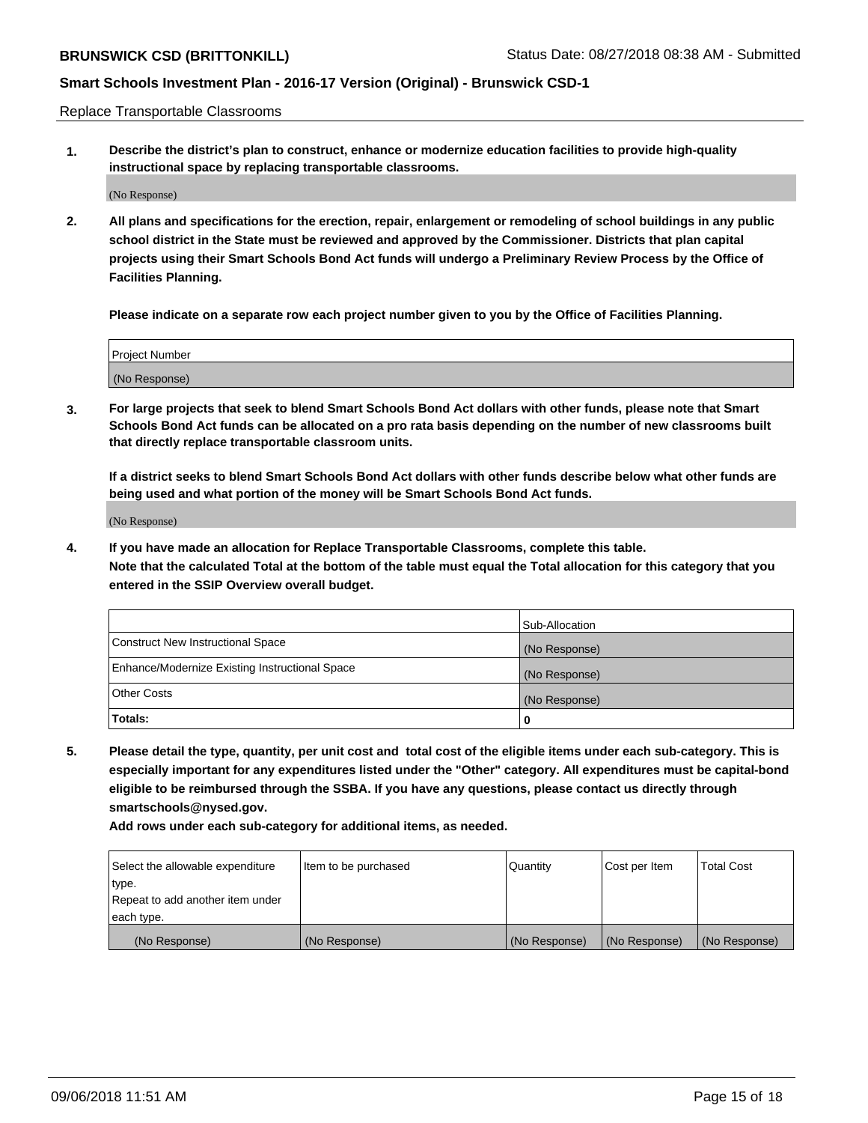Replace Transportable Classrooms

**1. Describe the district's plan to construct, enhance or modernize education facilities to provide high-quality instructional space by replacing transportable classrooms.**

(No Response)

**2. All plans and specifications for the erection, repair, enlargement or remodeling of school buildings in any public school district in the State must be reviewed and approved by the Commissioner. Districts that plan capital projects using their Smart Schools Bond Act funds will undergo a Preliminary Review Process by the Office of Facilities Planning.**

**Please indicate on a separate row each project number given to you by the Office of Facilities Planning.**

| Project Number |  |
|----------------|--|
|                |  |
|                |  |
|                |  |
|                |  |
| (No Response)  |  |
|                |  |
|                |  |
|                |  |

**3. For large projects that seek to blend Smart Schools Bond Act dollars with other funds, please note that Smart Schools Bond Act funds can be allocated on a pro rata basis depending on the number of new classrooms built that directly replace transportable classroom units.**

**If a district seeks to blend Smart Schools Bond Act dollars with other funds describe below what other funds are being used and what portion of the money will be Smart Schools Bond Act funds.**

(No Response)

**4. If you have made an allocation for Replace Transportable Classrooms, complete this table. Note that the calculated Total at the bottom of the table must equal the Total allocation for this category that you entered in the SSIP Overview overall budget.**

|                                                | Sub-Allocation |
|------------------------------------------------|----------------|
| Construct New Instructional Space              | (No Response)  |
| Enhance/Modernize Existing Instructional Space | (No Response)  |
| <b>Other Costs</b>                             | (No Response)  |
| Totals:                                        | 0              |

**5. Please detail the type, quantity, per unit cost and total cost of the eligible items under each sub-category. This is especially important for any expenditures listed under the "Other" category. All expenditures must be capital-bond eligible to be reimbursed through the SSBA. If you have any questions, please contact us directly through smartschools@nysed.gov.**

| Select the allowable expenditure | Item to be purchased | l Quantitv    | Cost per Item | <b>Total Cost</b> |
|----------------------------------|----------------------|---------------|---------------|-------------------|
| type.                            |                      |               |               |                   |
| Repeat to add another item under |                      |               |               |                   |
| each type.                       |                      |               |               |                   |
| (No Response)                    | (No Response)        | (No Response) | (No Response) | (No Response)     |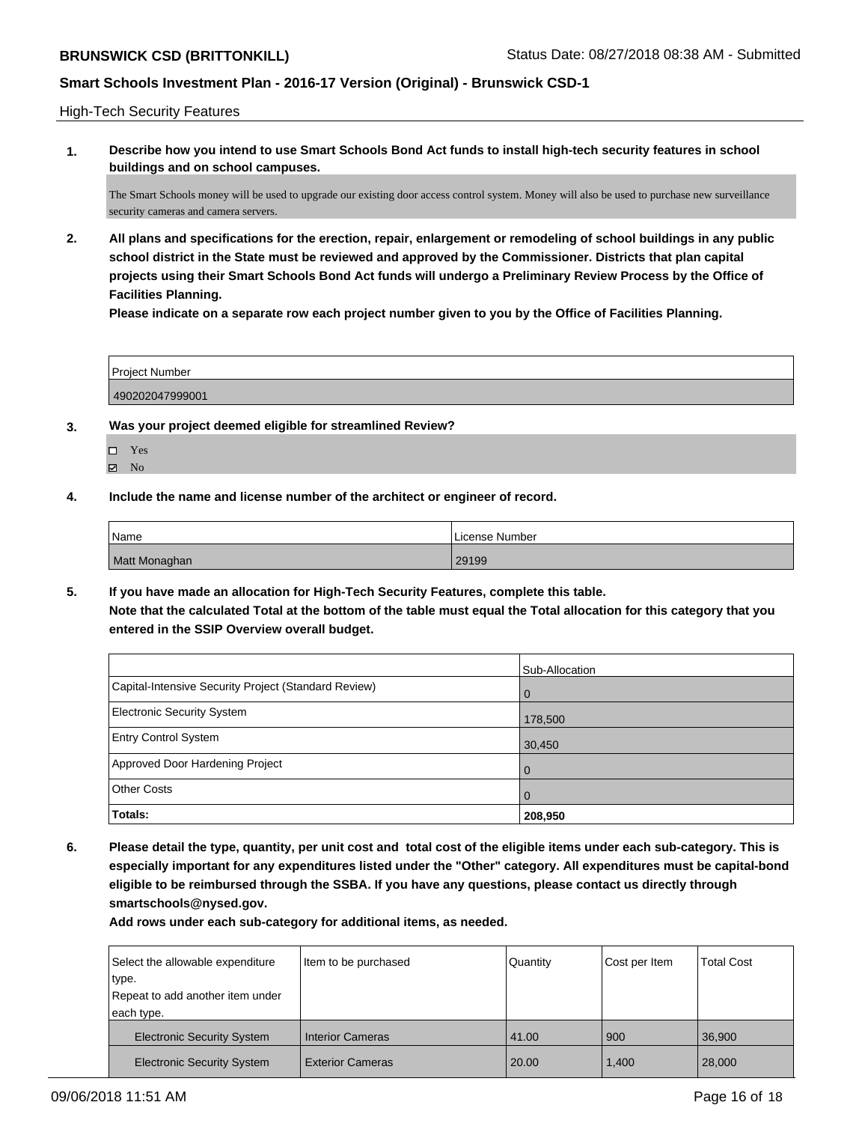High-Tech Security Features

**1. Describe how you intend to use Smart Schools Bond Act funds to install high-tech security features in school buildings and on school campuses.**

The Smart Schools money will be used to upgrade our existing door access control system. Money will also be used to purchase new surveillance security cameras and camera servers.

**2. All plans and specifications for the erection, repair, enlargement or remodeling of school buildings in any public school district in the State must be reviewed and approved by the Commissioner. Districts that plan capital projects using their Smart Schools Bond Act funds will undergo a Preliminary Review Process by the Office of Facilities Planning.** 

**Please indicate on a separate row each project number given to you by the Office of Facilities Planning.**

| <b>Project Number</b> |  |
|-----------------------|--|
| 490202047999001       |  |

- **3. Was your project deemed eligible for streamlined Review?**
	- Yes
	- $\boxtimes$  No
- **4. Include the name and license number of the architect or engineer of record.**

| Name          | ı License Number l |
|---------------|--------------------|
| Matt Monaghan | 29199              |

**5. If you have made an allocation for High-Tech Security Features, complete this table. Note that the calculated Total at the bottom of the table must equal the Total allocation for this category that you entered in the SSIP Overview overall budget.**

|                                                      | Sub-Allocation |
|------------------------------------------------------|----------------|
| Capital-Intensive Security Project (Standard Review) | l O            |
| <b>Electronic Security System</b>                    | 178,500        |
| <b>Entry Control System</b>                          | 30,450         |
| Approved Door Hardening Project                      | <b>O</b>       |
| <b>Other Costs</b>                                   | l O            |
| <b>Totals:</b>                                       | 208,950        |

**6. Please detail the type, quantity, per unit cost and total cost of the eligible items under each sub-category. This is especially important for any expenditures listed under the "Other" category. All expenditures must be capital-bond eligible to be reimbursed through the SSBA. If you have any questions, please contact us directly through smartschools@nysed.gov.**

| Select the allowable expenditure<br>type.<br>Repeat to add another item under | Item to be purchased    | Quantity | Cost per Item | <b>Total Cost</b> |
|-------------------------------------------------------------------------------|-------------------------|----------|---------------|-------------------|
| each type.                                                                    |                         |          |               |                   |
| <b>Electronic Security System</b>                                             | <b>Interior Cameras</b> | 41.00    | 900           | 36.900            |
| <b>Electronic Security System</b>                                             | <b>Exterior Cameras</b> | 20.00    | 1,400         | 28,000            |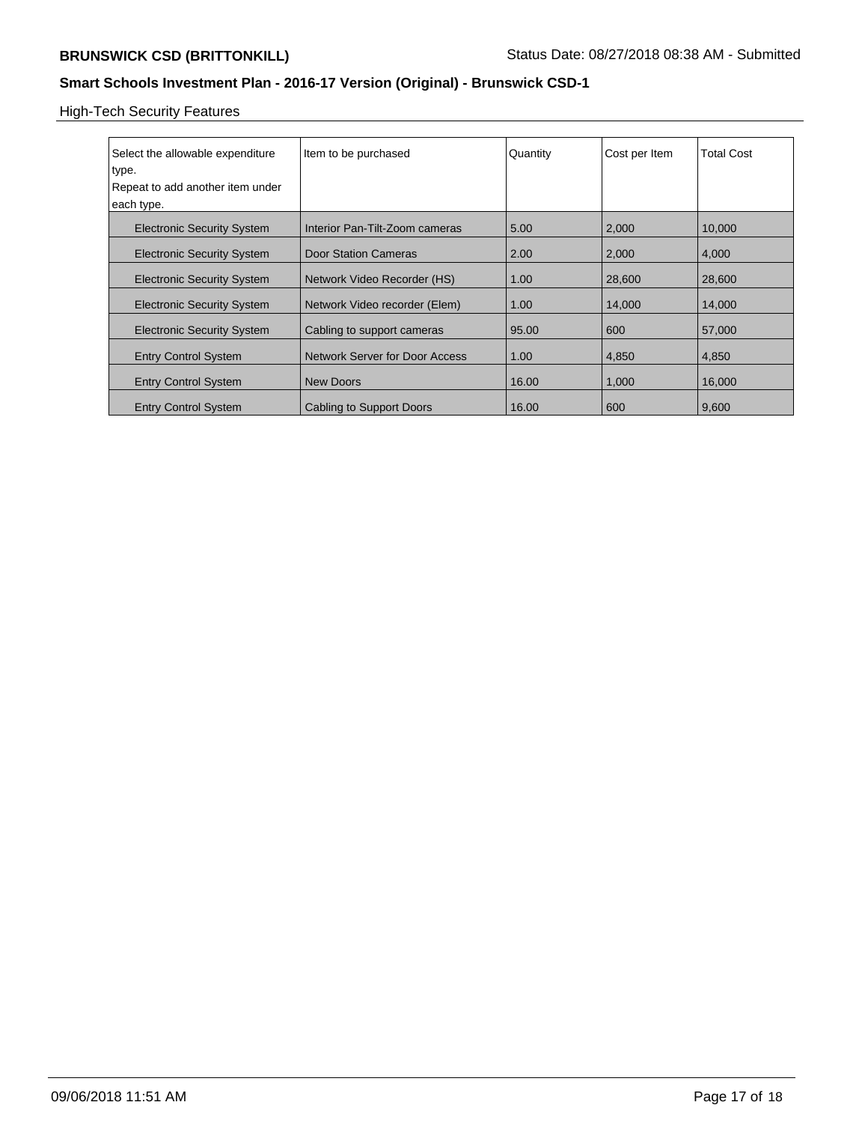# High-Tech Security Features

| Select the allowable expenditure<br>type.      | Item to be purchased           | Quantity | Cost per Item | <b>Total Cost</b> |
|------------------------------------------------|--------------------------------|----------|---------------|-------------------|
| Repeat to add another item under<br>each type. |                                |          |               |                   |
| <b>Electronic Security System</b>              | Interior Pan-Tilt-Zoom cameras | 5.00     | 2,000         | 10,000            |
| <b>Electronic Security System</b>              | Door Station Cameras           | 2.00     | 2,000         | 4.000             |
| <b>Electronic Security System</b>              | Network Video Recorder (HS)    | 1.00     | 28,600        | 28,600            |
| <b>Electronic Security System</b>              | Network Video recorder (Elem)  | 1.00     | 14,000        | 14,000            |
| <b>Electronic Security System</b>              | Cabling to support cameras     | 95.00    | 600           | 57,000            |
| <b>Entry Control System</b>                    | Network Server for Door Access | 1.00     | 4,850         | 4,850             |
| <b>Entry Control System</b>                    | New Doors                      | 16.00    | 1,000         | 16,000            |
| <b>Entry Control System</b>                    | Cabling to Support Doors       | 16.00    | 600           | 9,600             |